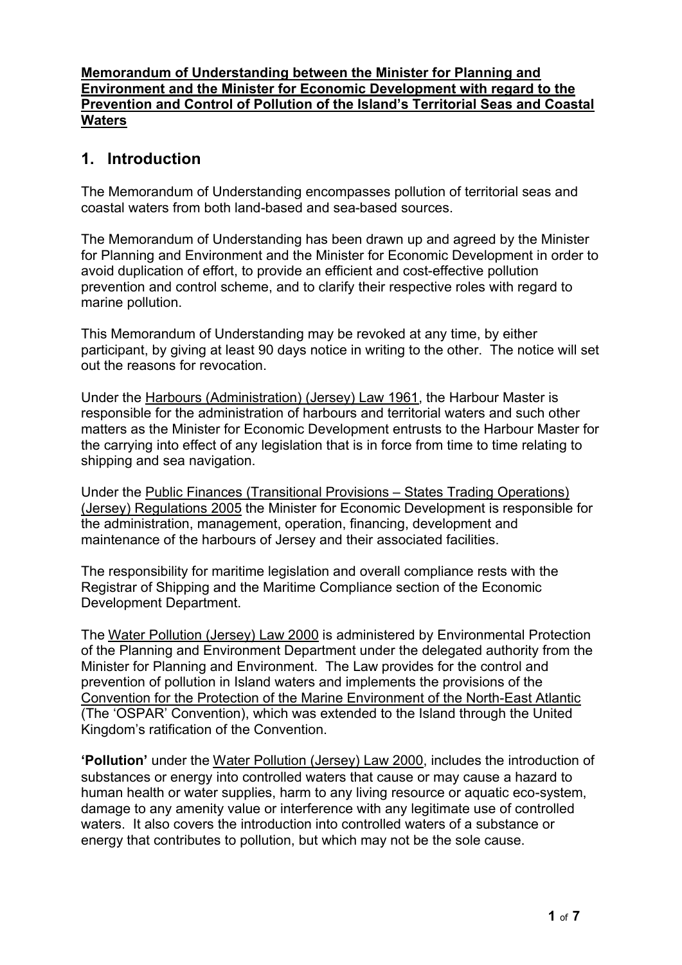### **Memorandum of Understanding between the Minister for Planning and Environment and the Minister for Economic Development with regard to the Prevention and Control of Pollution of the Island's Territorial Seas and Coastal Waters**

# **1. Introduction**

The Memorandum of Understanding encompasses pollution of territorial seas and coastal waters from both land-based and sea-based sources.

The Memorandum of Understanding has been drawn up and agreed by the Minister for Planning and Environment and the Minister for Economic Development in order to avoid duplication of effort, to provide an efficient and cost-effective pollution prevention and control scheme, and to clarify their respective roles with regard to marine pollution.

This Memorandum of Understanding may be revoked at any time, by either participant, by giving at least 90 days notice in writing to the other. The notice will set out the reasons for revocation.

Under the Harbours (Administration) (Jersey) Law 1961, the Harbour Master is responsible for the administration of harbours and territorial waters and such other matters as the Minister for Economic Development entrusts to the Harbour Master for the carrying into effect of any legislation that is in force from time to time relating to shipping and sea navigation.

Under the Public Finances (Transitional Provisions – States Trading Operations) (Jersey) Regulations 2005 the Minister for Economic Development is responsible for the administration, management, operation, financing, development and maintenance of the harbours of Jersey and their associated facilities.

The responsibility for maritime legislation and overall compliance rests with the Registrar of Shipping and the Maritime Compliance section of the Economic Development Department.

The Water Pollution (Jersey) Law 2000 is administered by Environmental Protection of the Planning and Environment Department under the delegated authority from the Minister for Planning and Environment. The Law provides for the control and prevention of pollution in Island waters and implements the provisions of the Convention for the Protection of the Marine Environment of the North-East Atlantic (The 'OSPAR' Convention), which was extended to the Island through the United Kingdom's ratification of the Convention.

**'Pollution'** under the Water Pollution (Jersey) Law 2000, includes the introduction of substances or energy into controlled waters that cause or may cause a hazard to human health or water supplies, harm to any living resource or aquatic eco-system, damage to any amenity value or interference with any legitimate use of controlled waters. It also covers the introduction into controlled waters of a substance or energy that contributes to pollution, but which may not be the sole cause.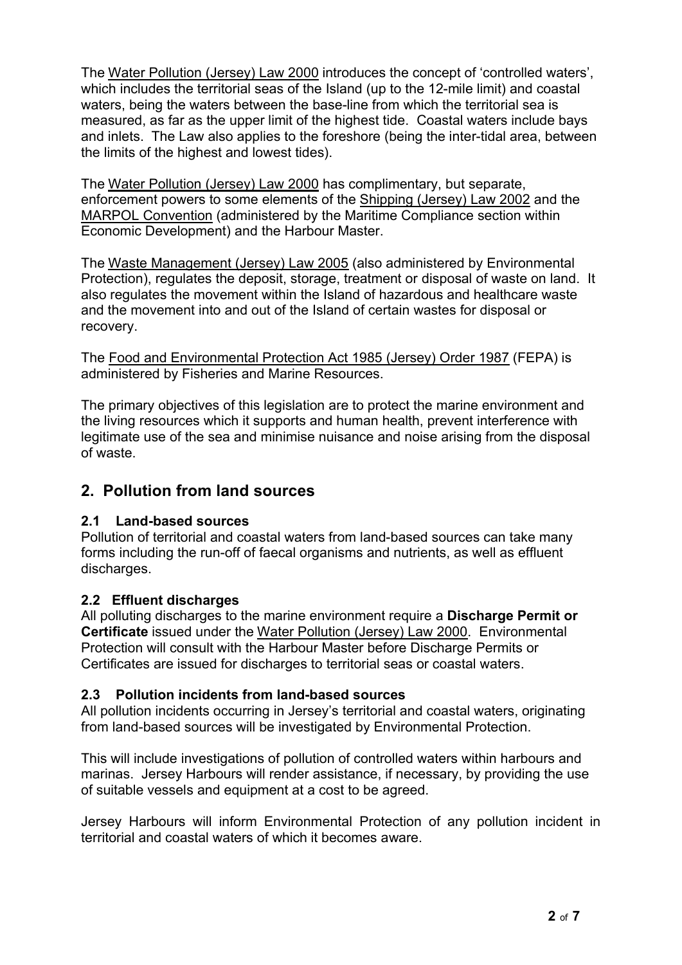The Water Pollution (Jersey) Law 2000 introduces the concept of 'controlled waters', which includes the territorial seas of the Island (up to the 12-mile limit) and coastal waters, being the waters between the base-line from which the territorial sea is measured, as far as the upper limit of the highest tide. Coastal waters include bays and inlets. The Law also applies to the foreshore (being the inter-tidal area, between the limits of the highest and lowest tides).

The Water Pollution (Jersey) Law 2000 has complimentary, but separate, enforcement powers to some elements of the Shipping (Jersey) Law 2002 and the MARPOL Convention (administered by the Maritime Compliance section within Economic Development) and the Harbour Master.

 Protection), regulates the deposit, storage, treatment or disposal of waste on land. It The Waste Management (Jersey) Law 2005 (also administered by Environmental also regulates the movement within the Island of hazardous and healthcare waste and the movement into and out of the Island of certain wastes for disposal or recovery.

The Food and Environmental Protection Act 1985 (Jersey) Order 1987 (FEPA) is administered by Fisheries and Marine Resources.

The primary objectives of this legislation are to protect the marine environment and the living resources which it supports and human health, prevent interference with legitimate use of the sea and minimise nuisance and noise arising from the disposal of waste.

# **2. Pollution from land sources**

## **2.1 Land-based sources**

Pollution of territorial and coastal waters from land-based sources can take many forms including the run-off of faecal organisms and nutrients, as well as effluent discharges.

# **2.2 Effluent discharges**

 **Certificate** issued under the Water Pollution (Jersey) Law 2000. Environmental Certificates are issued for discharges to territorial seas or coastal waters. All polluting discharges to the marine environment require a **Discharge Permit or**  Protection will consult with the Harbour Master before Discharge Permits or

## **2.3 Pollution incidents from land-based sources**

All pollution incidents occurring in Jersey's territorial and coastal waters, originating from land-based sources will be investigated by Environmental Protection.

This will include investigations of pollution of controlled waters within harbours and marinas. Jersey Harbours will render assistance, if necessary, by providing the use of suitable vessels and equipment at a cost to be agreed.

Jersey Harbours will inform Environmental Protection of any pollution incident in territorial and coastal waters of which it becomes aware.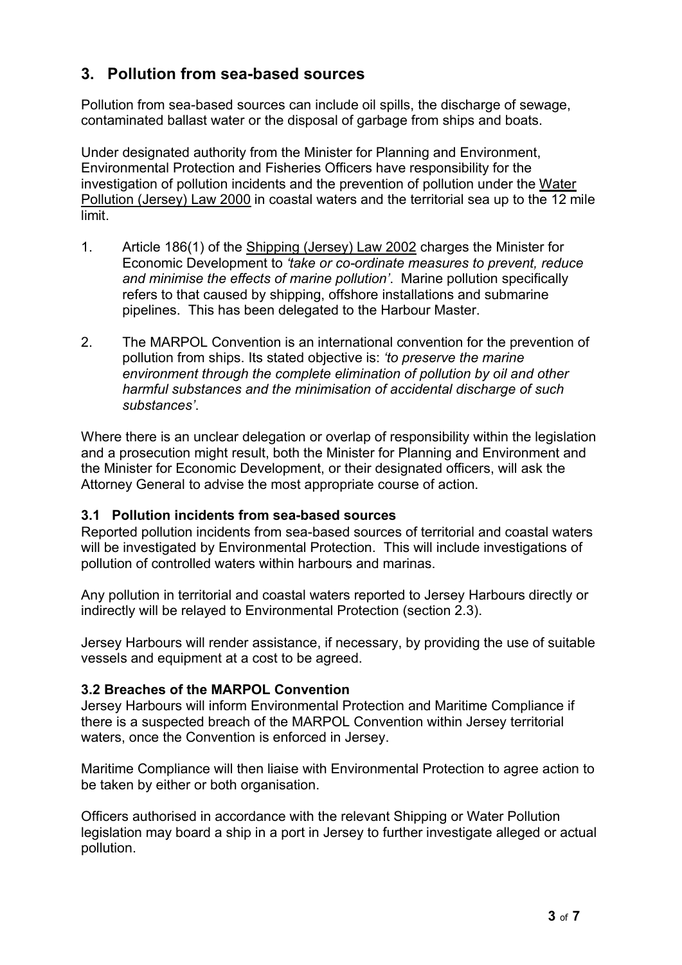# **3. Pollution from sea-based sources**

Pollution from sea-based sources can include oil spills, the discharge of sewage, contaminated ballast water or the disposal of garbage from ships and boats.

Under designated authority from the Minister for Planning and Environment, Environmental Protection and Fisheries Officers have responsibility for the investigation of pollution incidents and the prevention of pollution under the Water Pollution (Jersey) Law 2000 in coastal waters and the territorial sea up to the 12 mile limit.

- 1. � Article 186(1) of the Shipping (Jersey) Law 2002 charges the Minister for Economic Development to *'take or co-ordinate measures to prevent, reduce and minimise the effects of marine pollution'*. Marine pollution specifically refers to that caused by shipping, offshore installations and submarine pipelines. This has been delegated to the Harbour Master.
- 2. The MARPOL Convention is an international convention for the prevention of pollution from ships. Its stated objective is: *'to preserve the marine environment through the complete elimination of pollution by oil and other harmful substances and the minimisation of accidental discharge of such substances'*.

Where there is an unclear delegation or overlap of responsibility within the legislation and a prosecution might result, both the Minister for Planning and Environment and the Minister for Economic Development, or their designated officers, will ask the Attorney General to advise the most appropriate course of action.

## **3.1 Pollution incidents from sea-based sources**

Reported pollution incidents from sea-based sources of territorial and coastal waters will be investigated by Environmental Protection. This will include investigations of pollution of controlled waters within harbours and marinas.

Any pollution in territorial and coastal waters reported to Jersey Harbours directly or indirectly will be relayed to Environmental Protection (section 2.3).

Jersey Harbours will render assistance, if necessary, by providing the use of suitable vessels and equipment at a cost to be agreed.

## **3.2 Breaches of the MARPOL Convention**

Jersey Harbours will inform Environmental Protection and Maritime Compliance if there is a suspected breach of the MARPOL Convention within Jersey territorial waters, once the Convention is enforced in Jersey.

Maritime Compliance will then liaise with Environmental Protection to agree action to be taken by either or both organisation.

Officers authorised in accordance with the relevant Shipping or Water Pollution legislation may board a ship in a port in Jersey to further investigate alleged or actual pollution.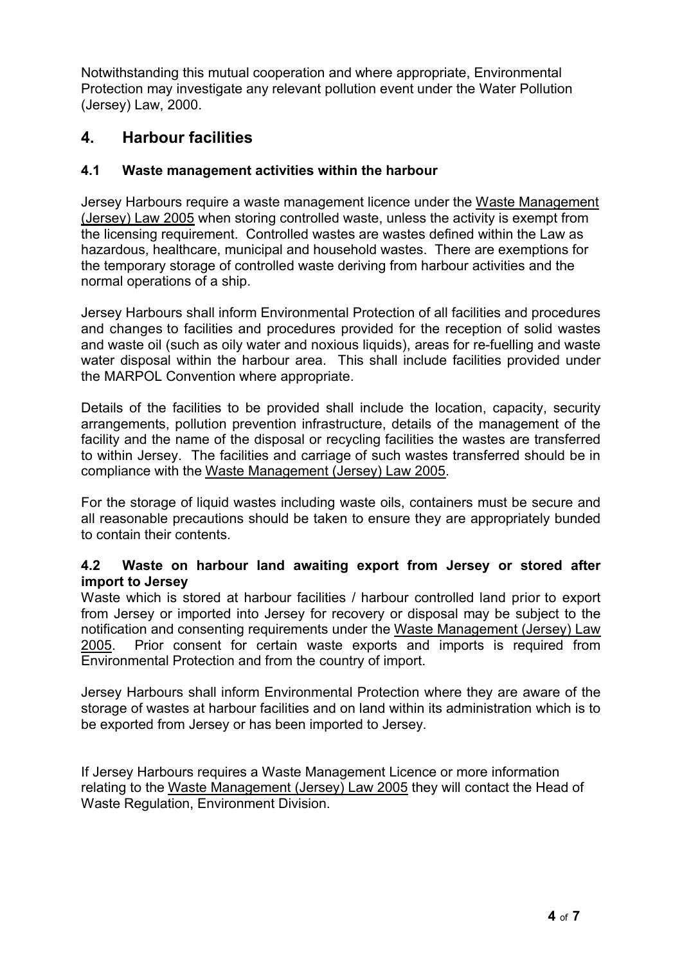Notwithstanding this mutual cooperation and where appropriate, Environmental Protection may investigate any relevant pollution event under the Water Pollution (Jersey) Law, 2000.

# **4. Harbour facilities**

## **4.1 Waste management activities within the harbour**

Jersey Harbours require a waste management licence under the Waste Management (Jersey) Law 2005 when storing controlled waste, unless the activity is exempt from the licensing requirement. Controlled wastes are wastes defined within the Law as hazardous, healthcare, municipal and household wastes. There are exemptions for the temporary storage of controlled waste deriving from harbour activities and the normal operations of a ship.

Jersey Harbours shall inform Environmental Protection of all facilities and procedures and changes to facilities and procedures provided for the reception of solid wastes and waste oil (such as oily water and noxious liquids), areas for re-fuelling and waste water disposal within the harbour area. This shall include facilities provided under the MARPOL Convention where appropriate.

Details of the facilities to be provided shall include the location, capacity, security arrangements, pollution prevention infrastructure, details of the management of the facility and the name of the disposal or recycling facilities the wastes are transferred to within Jersey. The facilities and carriage of such wastes transferred should be in compliance with the Waste Management (Jersey) Law 2005.

For the storage of liquid wastes including waste oils, containers must be secure and all reasonable precautions should be taken to ensure they are appropriately bunded to contain their contents.

### **import to Jersey 4.2 Waste on harbour land awaiting export from Jersey or stored after**

Waste which is stored at harbour facilities / harbour controlled land prior to export from Jersey or imported into Jersey for recovery or disposal may be subject to the notification and consenting requirements under the Waste Management (Jersey) Law 2005. Prior consent for certain waste exports and imports is required from Environmental Protection and from the country of import.

Jersey Harbours shall inform Environmental Protection where they are aware of the storage of wastes at harbour facilities and on land within its administration which is to be exported from Jersey or has been imported to Jersey.

If Jersey Harbours requires a Waste Management Licence or more information relating to the Waste Management (Jersey) Law 2005 they will contact the Head of Waste Regulation, Environment Division.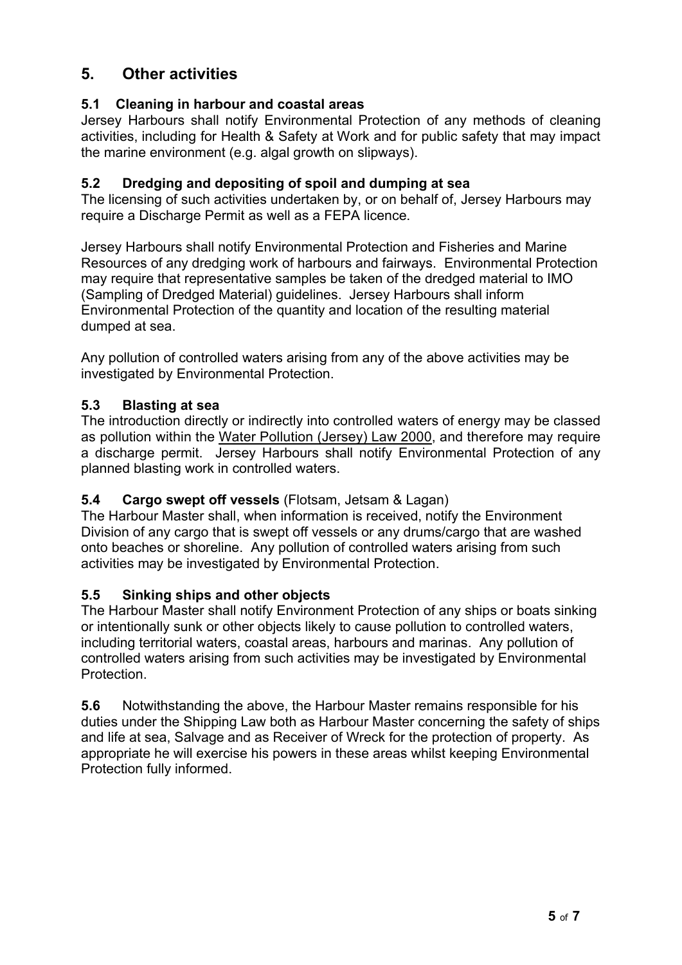# **5. Other activities**

# **5.1 Cleaning in harbour and coastal areas**

Jersey Harbours shall notify Environmental Protection of any methods of cleaning activities, including for Health & Safety at Work and for public safety that may impact the marine environment (e.g. algal growth on slipways).

## **5.2 Dredging and depositing of spoil and dumping at sea**

The licensing of such activities undertaken by, or on behalf of, Jersey Harbours may require a Discharge Permit as well as a FEPA licence.

Jersey Harbours shall notify Environmental Protection and Fisheries and Marine Resources of any dredging work of harbours and fairways. Environmental Protection may require that representative samples be taken of the dredged material to IMO (Sampling of Dredged Material) guidelines. Jersey Harbours shall inform Environmental Protection of the quantity and location of the resulting material dumped at sea.

Any pollution of controlled waters arising from any of the above activities may be investigated by Environmental Protection.

## **5.3 Blasting at sea**

The introduction directly or indirectly into controlled waters of energy may be classed as pollution within the Water Pollution (Jersey) Law 2000, and therefore may require a discharge permit. Jersey Harbours shall notify Environmental Protection of any planned blasting work in controlled waters.

## **5.4 Cargo swept off vessels** (Flotsam, Jetsam & Lagan)

The Harbour Master shall, when information is received, notify the Environment Division of any cargo that is swept off vessels or any drums/cargo that are washed onto beaches or shoreline. Any pollution of controlled waters arising from such activities may be investigated by Environmental Protection.

## **5.5 Sinking ships and other objects**

The Harbour Master shall notify Environment Protection of any ships or boats sinking or intentionally sunk or other objects likely to cause pollution to controlled waters, including territorial waters, coastal areas, harbours and marinas. Any pollution of controlled waters arising from such activities may be investigated by Environmental Protection.

**5.6** Notwithstanding the above, the Harbour Master remains responsible for his duties under the Shipping Law both as Harbour Master concerning the safety of ships and life at sea, Salvage and as Receiver of Wreck for the protection of property. As appropriate he will exercise his powers in these areas whilst keeping Environmental Protection fully informed.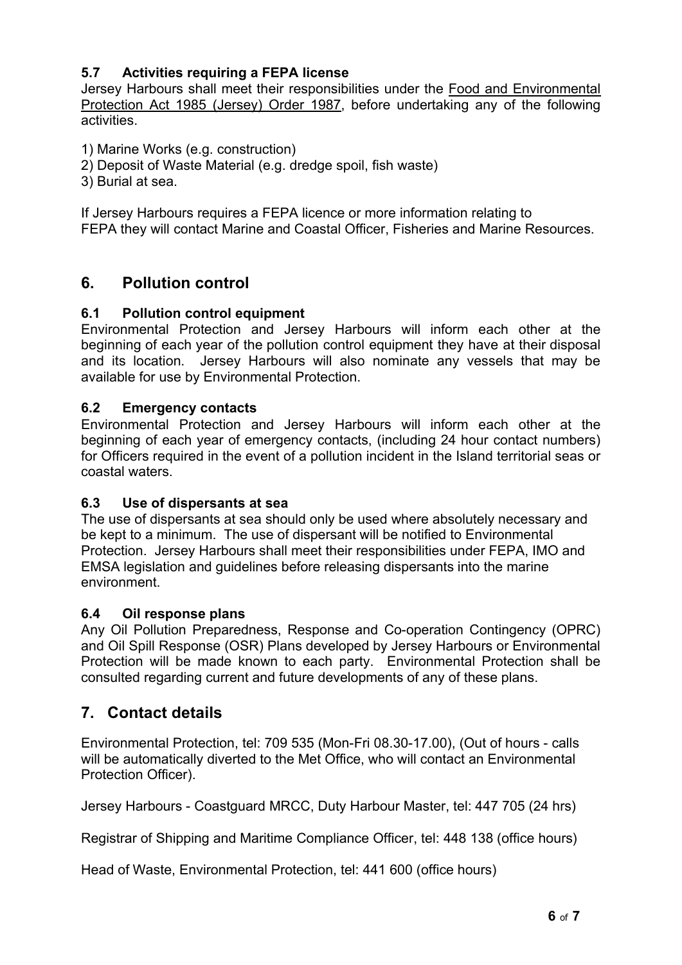# **5.7 Activities requiring a FEPA license**

Jersey Harbours shall meet their responsibilities under the Food and Environmental Protection Act 1985 (Jersey) Order 1987, before undertaking any of the following activities.

1) Marine Works (e.g. construction)

2) Deposit of Waste Material (e.g. dredge spoil, fish waste) �

3) Burial at sea.

If Jersey Harbours requires a FEPA licence or more information relating to FEPA they will contact Marine and Coastal Officer, Fisheries and Marine Resources.

# **6. Pollution control**

## **6.1 Pollution control equipment**

Environmental Protection and Jersey Harbours will inform each other at the beginning of each year of the pollution control equipment they have at their disposal and its location. Jersey Harbours will also nominate any vessels that may be available for use by Environmental Protection.

### **6.2 Emergency contacts**

Environmental Protection and Jersey Harbours will inform each other at the beginning of each year of emergency contacts, (including 24 hour contact numbers) for Officers required in the event of a pollution incident in the Island territorial seas or coastal waters.

#### **6.3 Use of dispersants at sea**

The use of dispersants at sea should only be used where absolutely necessary and be kept to a minimum. The use of dispersant will be notified to Environmental Protection. Jersey Harbours shall meet their responsibilities under FEPA, IMO and EMSA legislation and guidelines before releasing dispersants into the marine environment.

#### **6.4 Oil response plans**

Any Oil Pollution Preparedness, Response and Co-operation Contingency (OPRC) and Oil Spill Response (OSR) Plans developed by Jersey Harbours or Environmental Protection will be made known to each party. Environmental Protection shall be consulted regarding current and future developments of any of these plans.

# **7. Contact details**

Environmental Protection, tel: 709 535 (Mon-Fri 08.30-17.00), (Out of hours - calls will be automatically diverted to the Met Office, who will contact an Environmental Protection Officer).

Jersey Harbours - Coastguard MRCC, Duty Harbour Master, tel: 447 705 (24 hrs)

Registrar of Shipping and Maritime Compliance Officer, tel: 448 138 (office hours)

Head of Waste, Environmental Protection, tel: 441 600 (office hours)